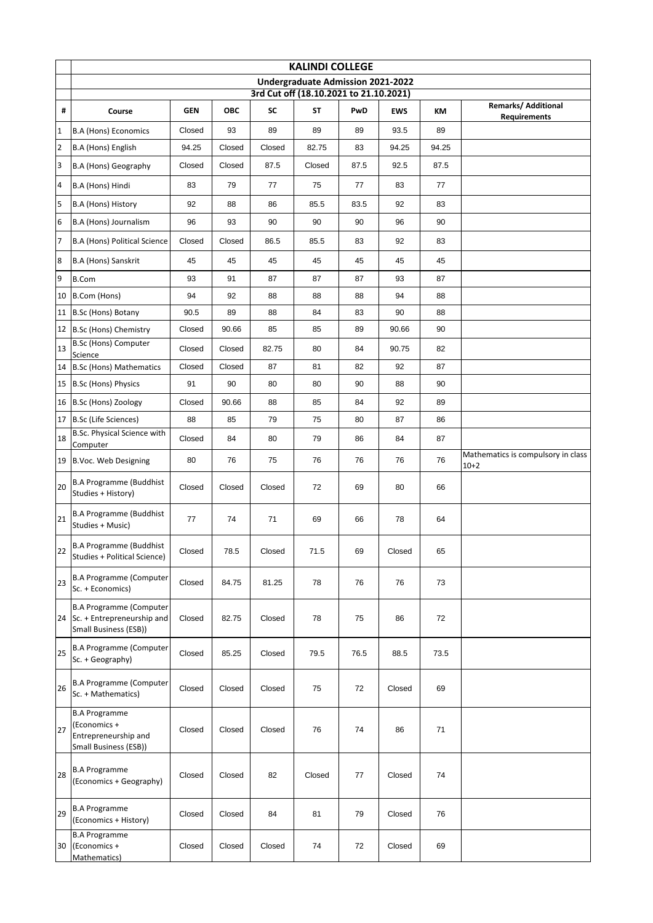|                 | <b>KALINDI COLLEGE</b>                                                                   |            |        |        |           |      |            |       |                                              |  |  |
|-----------------|------------------------------------------------------------------------------------------|------------|--------|--------|-----------|------|------------|-------|----------------------------------------------|--|--|
|                 | Undergraduate Admission 2021-2022<br>3rd Cut off (18.10.2021 to 21.10.2021)              |            |        |        |           |      |            |       |                                              |  |  |
|                 |                                                                                          |            |        |        |           |      |            |       | <b>Remarks/ Additional</b>                   |  |  |
| #               | Course                                                                                   | <b>GEN</b> | ОВС    | SC     | <b>ST</b> | PwD  | <b>EWS</b> | КM    | <b>Requirements</b>                          |  |  |
| $\mathbf 1$     | <b>B.A (Hons) Economics</b>                                                              | Closed     | 93     | 89     | 89        | 89   | 93.5       | 89    |                                              |  |  |
| $\overline{2}$  | B.A (Hons) English                                                                       | 94.25      | Closed | Closed | 82.75     | 83   | 94.25      | 94.25 |                                              |  |  |
| 3               | <b>B.A (Hons) Geography</b>                                                              | Closed     | Closed | 87.5   | Closed    | 87.5 | 92.5       | 87.5  |                                              |  |  |
| $\overline{4}$  | B.A (Hons) Hindi                                                                         | 83         | 79     | 77     | 75        | 77   | 83         | 77    |                                              |  |  |
| 5               | B.A (Hons) History                                                                       | 92         | 88     | 86     | 85.5      | 83.5 | 92         | 83    |                                              |  |  |
| $6\phantom{.}6$ | B.A (Hons) Journalism                                                                    | 96         | 93     | 90     | 90        | 90   | 96         | 90    |                                              |  |  |
| $\overline{7}$  | <b>B.A (Hons) Political Science</b>                                                      | Closed     | Closed | 86.5   | 85.5      | 83   | 92         | 83    |                                              |  |  |
| 8               | B.A (Hons) Sanskrit                                                                      | 45         | 45     | 45     | 45        | 45   | 45         | 45    |                                              |  |  |
| 9               | <b>B.Com</b>                                                                             | 93         | 91     | 87     | 87        | 87   | 93         | 87    |                                              |  |  |
|                 | 10 B.Com (Hons)                                                                          | 94         | 92     | 88     | 88        | 88   | 94         | 88    |                                              |  |  |
|                 | 11 B.Sc (Hons) Botany                                                                    | 90.5       | 89     | 88     | 84        | 83   | 90         | 88    |                                              |  |  |
|                 | 12 B.Sc (Hons) Chemistry                                                                 | Closed     | 90.66  | 85     | 85        | 89   | 90.66      | 90    |                                              |  |  |
| 13              | <b>B.Sc (Hons) Computer</b><br>Science                                                   | Closed     | Closed | 82.75  | 80        | 84   | 90.75      | 82    |                                              |  |  |
|                 | 14 B.Sc (Hons) Mathematics                                                               | Closed     | Closed | 87     | 81        | 82   | 92         | 87    |                                              |  |  |
|                 | 15 B.Sc (Hons) Physics                                                                   | 91         | 90     | 80     | 80        | 90   | 88         | 90    |                                              |  |  |
|                 | 16 B.Sc (Hons) Zoology                                                                   | Closed     | 90.66  | 88     | 85        | 84   | 92         | 89    |                                              |  |  |
|                 | 17 B.Sc (Life Sciences)                                                                  | 88         | 85     | 79     | 75        | 80   | 87         | 86    |                                              |  |  |
| 18              | B.Sc. Physical Science with<br>Computer                                                  | Closed     | 84     | 80     | 79        | 86   | 84         | 87    |                                              |  |  |
|                 | 19 B.Voc. Web Designing                                                                  | 80         | 76     | 75     | 76        | 76   | 76         | 76    | Mathematics is compulsory in class<br>$10+2$ |  |  |
| 20              | <b>B.A Programme (Buddhist</b><br>Studies + History)                                     | Closed     | Closed | Closed | 72        | 69   | 80         | 66    |                                              |  |  |
| 21              | <b>B.A Programme (Buddhist</b><br>Studies + Music)                                       | 77         | 74     | 71     | 69        | 66   | 78         | 64    |                                              |  |  |
| 22              | <b>B.A Programme (Buddhist</b><br>Studies + Political Science)                           | Closed     | 78.5   | Closed | 71.5      | 69   | Closed     | 65    |                                              |  |  |
| 23              | <b>B.A Programme (Computer</b><br>Sc. + Economics)                                       | Closed     | 84.75  | 81.25  | 78        | 76   | 76         | 73    |                                              |  |  |
|                 | <b>B.A Programme (Computer</b><br>24 Sc. + Entrepreneurship and<br>Small Business (ESB)) | Closed     | 82.75  | Closed | 78        | 75   | 86         | 72    |                                              |  |  |
| 25              | <b>B.A Programme (Computer</b><br>Sc. + Geography)                                       | Closed     | 85.25  | Closed | 79.5      | 76.5 | 88.5       | 73.5  |                                              |  |  |
| 26              | <b>B.A Programme (Computer</b><br>Sc. + Mathematics)                                     | Closed     | Closed | Closed | 75        | 72   | Closed     | 69    |                                              |  |  |
| 27              | <b>B.A Programme</b><br>(Economics +<br>Entrepreneurship and<br>Small Business (ESB))    | Closed     | Closed | Closed | 76        | 74   | 86         | 71    |                                              |  |  |
| 28              | <b>B.A Programme</b><br>(Economics + Geography)                                          | Closed     | Closed | 82     | Closed    | 77   | Closed     | 74    |                                              |  |  |
| 29              | <b>B.A Programme</b><br>(Economics + History)                                            | Closed     | Closed | 84     | 81        | 79   | Closed     | 76    |                                              |  |  |
| 30              | <b>B.A Programme</b><br>(Economics +<br>Mathematics)                                     | Closed     | Closed | Closed | 74        | 72   | Closed     | 69    |                                              |  |  |